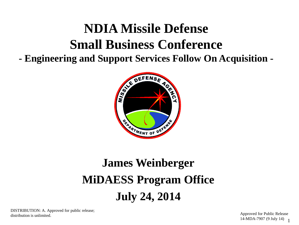# **NDIA Missile Defense Small Business Conference**

**- Engineering and Support Services Follow On Acquisition -**



# **James Weinberger MiDAESS Program Office July 24, 2014**

DISTRIBUTION: A. Approved for public release; distribution is unlimited.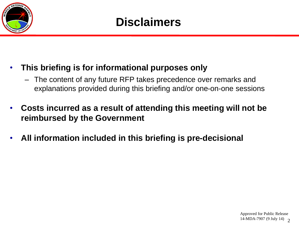

### • **This briefing is for informational purposes only**

- The content of any future RFP takes precedence over remarks and explanations provided during this briefing and/or one-on-one sessions
- **Costs incurred as a result of attending this meeting will not be reimbursed by the Government**
- **All information included in this briefing is pre-decisional**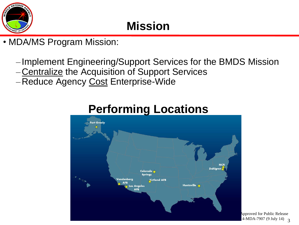

# **Mission**

- MDA/MS Program Mission:
	- ‒ Implement Engineering/Support Services for the BMDS Mission
	- ‒Centralize the Acquisition of Support Services
	- -Reduce Agency Cost Enterprise-Wide



## **Performing Locations**

3 14-MDA-7907 (9 July 14) Approved for Public Release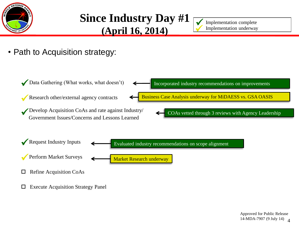

## **Since Industry Day #1 (April 16, 2014)**

 $\sqrt{}$  $\bigvee$ 

Implementation complete Implementation underway

• Path to Acquisition strategy:

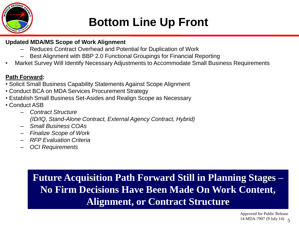

## **Bottom Line Up Front**

#### **Updated MDA/MS Scope of Work Alignment**

- ‒ Reduces Contract Overhead and Potential for Duplication of Work
- ‒ Best Alignment with BBP 2.0 Functional Groupings for Financial Reporting
- Market Survey Will Identify Necessary Adjustments to Accommodate Small Business Requirements

#### **Path Forward:**

- Solicit Small Business Capability Statements Against Scope Alignment
- Conduct BCA on MDA Services Procurement Strategy
- Establish Small Business Set-Asides and Realign Scope as Necessary
- Conduct ASB
	- ‒ *Contract Structure (ID/IQ, Stand-Alone Contract, External Agency Contract, Hybrid)*
	- ‒ *Small Business COAs*
	- ‒ *Finalize Scope of Work*
	- ‒ *RFP Evaluation Criteria*
	- ‒ *OCI Requirements*

### **Future Acquisition Path Forward Still in Planning Stages – No Firm Decisions Have Been Made On Work Content, Alignment, or Contract Structure**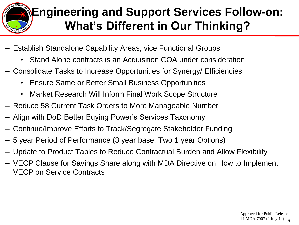

# **Engineering and Support Services Follow-on: What's Different in Our Thinking?**

- Establish Standalone Capability Areas; vice Functional Groups
	- Stand Alone contracts is an Acquisition COA under consideration
- Consolidate Tasks to Increase Opportunities for Synergy/ Efficiencies
	- Ensure Same or Better Small Business Opportunities
	- Market Research Will Inform Final Work Scope Structure
- Reduce 58 Current Task Orders to More Manageable Number
- Align with DoD Better Buying Power's Services Taxonomy
- Continue/Improve Efforts to Track/Segregate Stakeholder Funding
- 5 year Period of Performance (3 year base, Two 1 year Options)
- Update to Product Tables to Reduce Contractual Burden and Allow Flexibility
- VECP Clause for Savings Share along with MDA Directive on How to Implement VECP on Service Contracts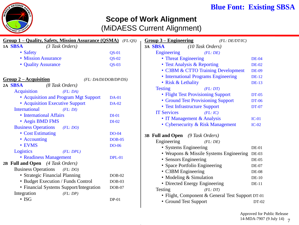

### **Blue Font: Existing SBSA**

### **Scope of Work Alignment**

(MiDAESS Current Alignment)

| Group 1 – Quality, Safety, Mission Assurance (QSMA) (FL:QS) |               | $Group 3 - Engineering$<br>(FL: DE/DT/IC)            |
|-------------------------------------------------------------|---------------|------------------------------------------------------|
| 1A SBSA<br>(3 Task Orders)                                  |               | 3A SBSA<br>(10 Task Orders)                          |
| • Safety                                                    | $QS-01$       | Engineering<br>(FL:DE)                               |
| • Mission Assurance                                         | $QS-02$       | • Threat Engineering<br>$DE-04$                      |
| • Quality Assurance                                         | $OS-03$       | • Test Analysis & Reporting<br><b>DE-02</b>          |
|                                                             |               | • C3BM & CTTO Training Development<br><b>DE-09</b>   |
| $Group 2-Aequisition$<br>(FL: DA/DI/DOB/DP/DS)              |               | • International Programs Engineering<br><b>DE-12</b> |
| 2A SBSA<br>(8 Task Orders)                                  |               | • Risk & Lethality<br><b>DE-13</b>                   |
| <b>Acquisition</b><br>(FL:DA)                               |               | <b>Testing</b><br>(FL:DT)                            |
| • Acquisition and Program Mgt Support                       | <b>DA-01</b>  | • Flight Test Provisioning Support<br><b>DT-05</b>   |
| • Acquisition Executive Support                             | <b>DA-02</b>  | • Ground Test Provisioning Support<br><b>DT-06</b>   |
| <b>International</b><br>(FL:DI)                             |               | • Test Infrastructure Support<br><b>DT-07</b>        |
| • International Affairs                                     | $DI-01$       | <b>IT Services</b><br>(FL: IC)                       |
| • Aegis BMD FMS                                             | $DI-02$       | • IT Management & Analysis<br>$IC-01$                |
| <b>Business Operations</b><br>(FL: DO)                      |               | • Cybersecurity & Risk Management<br>$IC-02$         |
| • Cost Estimating                                           | $DO-04$       |                                                      |
| • Accounting                                                | $DOB-05$      | 3B Full and Open (9 Task Orders)                     |
| • EVMS                                                      | <b>DO-06</b>  | Engineering<br>(FL:DE)                               |
| Logistics<br>(FL: DPL)                                      |               | • Systems Engineering<br>$DE-01$                     |
| • Readiness Management                                      | <b>DPL-01</b> | • Weapons & Missile Systems Engineering<br>$DE-03$   |
| 2B Full and Open (4 Task Orders)                            |               | • Sensors Engineering<br><b>DE-05</b>                |
| <b>Business Operations</b><br>(FL: DO)                      |               | • Space Portfolio Engineering<br><b>DE-07</b>        |
| • Strategic Financial Planning                              | $DOB-02$      | • C3BM Engineering<br>$DE-08$                        |
| • Budget Execution / Funds Control                          | $DOB-03$      | • Modeling & Simulation<br>$DE-10$                   |
| • Financial Systems Support/Integration                     | $DOB-07$      | • Directed Energy Engineering<br>$DE-11$             |
| Integration<br>(FL: DP)                                     |               | Testing<br>(FL:DT)                                   |
| $\cdot$ ISG                                                 | $DP-01$       | • Flight, Component & General Test Support DT-01     |
|                                                             |               | • Ground Test Support<br>DT-02                       |
|                                                             |               |                                                      |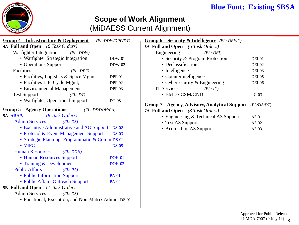### **Blue Font: Existing SBSA**



### **Scope of Work Alignment**

(MiDAESS Current Alignment)

| <b>Group 4 – Infrastructure &amp; Deployment</b><br>Group $6$ – Security & Intelligence (FL: DEI/IC)<br>(FL:DDW/DPF/DT) |                 |                                                     |               |  |
|-------------------------------------------------------------------------------------------------------------------------|-----------------|-----------------------------------------------------|---------------|--|
| 4A Full and Open (6 Task Orders)                                                                                        |                 | 6A Full and Open (6 Task Orders)                    |               |  |
| Warfighter Integration<br>(FL:DDW)                                                                                      |                 | Engineering<br>(FL: DEI)                            |               |  |
| • Warfighter Strategic Integration                                                                                      | <b>DDW-01</b>   | • Security & Program Protection                     | $DEI-01$      |  |
| • Operations Support                                                                                                    | $DDW-02$        | • Declassification                                  | <b>DEI-02</b> |  |
| Facilities<br>(FL: DPF)                                                                                                 |                 | • Intelligence                                      | <b>DEI-03</b> |  |
| • Facilities, Logistics & Space Mgmt                                                                                    | $DPF-01$        | • Counterintelligence                               | <b>DEI-05</b> |  |
| · Facilities Life Cycle Mgmt,                                                                                           | <b>DPF-02</b>   | • Cybersecurity & Engineering                       | <b>DEI-06</b> |  |
| • Environmental Management                                                                                              | $DPF-03$        | <b>IT Services</b><br>(FL: IC)                      |               |  |
| <b>Test Support</b><br>(FL:DT)                                                                                          |                 | • BMDS CSM/CND                                      | $IC-03$       |  |
| • Warfighter Operational Support                                                                                        | DT-08           |                                                     |               |  |
| <b>Group 5-Agency Operations</b>                                                                                        | (FL: DS/DOH/PA) | <b>Group 7-Agency, Advisory, Analytical Support</b> | (FL:DA/DT)    |  |
| 5A SBSA<br>(8 Task Orders)                                                                                              |                 | 7A Full and Open (3 Task Orders)                    |               |  |
|                                                                                                                         |                 | • Engineering & Technical A3 Support                | $A3-01$       |  |
| <b>Admin Services</b><br>(FL:DS)                                                                                        |                 | • Test A3 Support                                   | A3-02         |  |
| • Executive Administrative and AO Support DS-02                                                                         |                 | • Acquisition A3 Support                            | $A3-03$       |  |
| • Protocol & Event Management Support                                                                                   | $DS-03$         |                                                     |               |  |
| · Strategic Planning, Programmatic & Comm DS-04                                                                         |                 |                                                     |               |  |
| $\cdot$ VIPC                                                                                                            | $DS-0.5$        |                                                     |               |  |
| <b>Human Resources</b><br>(FL:DOH)                                                                                      |                 |                                                     |               |  |
| • Human Resources Support                                                                                               | <b>DOH-01</b>   |                                                     |               |  |
| • Training & Development                                                                                                | <b>DOH-02</b>   |                                                     |               |  |
| <b>Public Affairs</b><br>(FL: PA)                                                                                       |                 |                                                     |               |  |
| • Public Information Support                                                                                            | <b>PA-01</b>    |                                                     |               |  |
| • Public Affairs Outreach Support                                                                                       | <b>PA-02</b>    |                                                     |               |  |
| 5B Full and Open (1 Task Order)                                                                                         |                 |                                                     |               |  |
| <b>Admin Services</b><br>(FL:DS)                                                                                        |                 |                                                     |               |  |
| • Functional, Execution, and Non-Matrix Admin DS-01                                                                     |                 |                                                     |               |  |
|                                                                                                                         |                 |                                                     |               |  |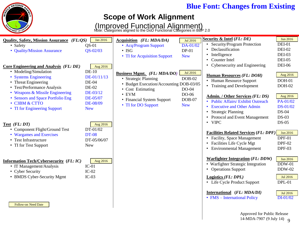### **Blue Font: Changes from Existing**

# DEFENS **ENT OF**

### **Scope of Work Alignment**

(Improved Functional Alignment)<br>Note: Categories aligned to the DoD Functional Categories in BBP 2.0

| <b>Quality, Safety, Mission Assurance</b> (FL:QS) | Jan 2016     | Acquisition (FL: MDA/DA)                | Jul 2016   | Security & Intel (FL: DE)                    | <b>Jun 2016</b> |
|---------------------------------------------------|--------------|-----------------------------------------|------------|----------------------------------------------|-----------------|
| • Safety                                          | $OS-01$      | • Acq/Program Support                   | DA-01/02   | • Security/Program Protection                | <b>DEI-01</b>   |
| • Quality/Mission Assurance                       | $QS - 02/03$ | $\cdot$ ISG                             | $DP-01$    | Declassification                             | <b>DEI-02</b>   |
|                                                   |              | • TI for Acquisition Support            | <b>New</b> | Intelligence                                 | DEI-03          |
|                                                   |              |                                         |            | • Counter Intel                              | <b>DEI-05</b>   |
| <b>Core Engineering and Analysis (FL: DE)</b>     | Aug 2016     |                                         |            | • Cybersecurity and Engineering              | <b>DEI-06</b>   |
| • Modeling/Simulation                             | $DE-10$      | Business Mgmt. (FL: MDA/DO)             | Jul 2016   |                                              | Aug 2016        |
| • Systems Engineering                             | DE-01/11/13  | • Strategic Planning                    | $DOB-02$   | <b>Human Resources (FL: DOH)</b>             |                 |
| • Threat Engineering                              | $DE-04$      | • Budget Execution/Accounting DOB-03/05 |            | • Human Resource Support                     | <b>DOH-01</b>   |
| • Test/Performance Analysis                       | DE-02        | • Cost Estimating                       | DO-04      | • Training and Development                   | $DOH-02$        |
| • Weapons & Missile Engineering                   | DE-03/12     | $\cdot$ EVM                             | DO-06      | <b>Admin.</b> / Other Services (FL: DS)      | Aug 2016        |
| • Sensors and Space Portfolio Eng                 | DE-05/07     | • Financial System Support              | $DOB-07$   | • Public Affairs/ Exhibit Outreach           | PA-01/02        |
| • C3BM & CTTO                                     | DE-08/09     | • TI for DO Support                     | <b>New</b> | <b>Executive and Other Admin</b>             | DS-01/02        |
| • TI for Engineering Support                      | <b>New</b>   |                                         |            | <b>Strategic Planning</b><br>$\bullet$       | <b>DS-04</b>    |
|                                                   |              |                                         |            | <b>Protocol and Event Management</b>         | $DS-03$         |
|                                                   |              |                                         |            | • VIPC                                       | $DS-05$         |
| Test $(FL:DT)$                                    | Aug 2016     |                                         |            |                                              |                 |
| • Component Flight/Ground Test                    | DT-01/02     |                                         |            | <b>Facilities Related Services (FL: DPF)</b> | Jun 2016        |
| • Wargames and Exercises                          | <b>DT-08</b> |                                         |            | • Facility, Space Management                 | $DPF-01$        |
| • Test Infrastructure                             | DT-05/06/07  |                                         |            | • Facilities Life Cycle Mgt                  | <b>DPF-02</b>   |
| • TI for Test Support                             | <b>New</b>   |                                         |            |                                              |                 |
|                                                   |              |                                         |            | • Environmental Management                   | <b>DPF-03</b>   |
| <b>Information Tech/Cybersecurity (FL: IC)</b>    | Aug 2016     |                                         |            | <b>Warfighter Integration (FL: DDW)</b>      | Jun 2016        |
| • IT Management/Analysis                          | $IC-01$      |                                         |            | • Warfighter Strategic Integration           | $DDW-01$        |
| • Cyber Security                                  | $IC-02$      |                                         |            | • Operations Support                         | <b>DDW-02</b>   |
| • BMDS Cyber-Security Mgmt                        | $IC-03$      |                                         |            | Logistics (FL: DPL)                          | Jul 2016        |
|                                                   |              |                                         |            | • Life Cycle Product Support                 | $DPL-01$        |
|                                                   |              |                                         |            |                                              |                 |
|                                                   |              |                                         |            | International (FL: MDA/DI)                   | <b>Jul 2016</b> |
|                                                   |              |                                         |            | • FMS - International Policy                 | $DI-01/02$      |
| Follow-on Need Date                               |              |                                         |            |                                              |                 |
|                                                   |              |                                         |            |                                              |                 |
|                                                   |              |                                         |            | Approved for Public Release                  |                 |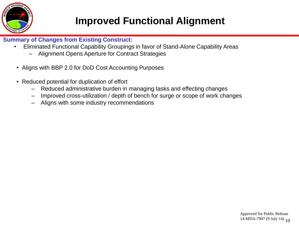

## **Improved Functional Alignment**

#### **Summary of Changes from Existing Construct:**

- Eliminated Functional Capability Groupings in favor of Stand-Alone Capability Areas
	- ‒ Alignment Opens Aperture for Contract Strategies
- Aligns with BBP 2.0 for DoD Cost Accounting Purposes
- Reduced potential for duplication of effort
	- Reduced administrative burden in managing tasks and effecting changes
	- Improved cross-utilization / depth of bench for surge or scope of work changes
	- ‒ Aligns with some industry recommendations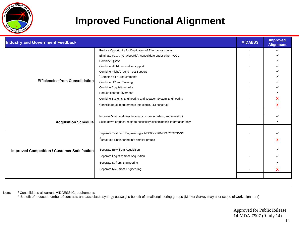

### **Improved Functional Alignment**

| <b>Industry and Government Feedback</b>             |                                                                        | <b>MIDAESS</b> | <b>Improved</b><br><b>Alignment</b> |
|-----------------------------------------------------|------------------------------------------------------------------------|----------------|-------------------------------------|
|                                                     | Reduce Opportunity for Duplication of Effort across tasks              |                | ✔                                   |
|                                                     | Eliminate FCG 7 (Graybeards); consolidate under other FCGs             |                |                                     |
|                                                     | Combine QSMA                                                           |                |                                     |
|                                                     | Combine all Administrative support                                     |                |                                     |
|                                                     | Combine Flight/Ground Test Support                                     |                |                                     |
|                                                     | <sup>1</sup> Combine all IC requirements                               |                |                                     |
| <b>Efficiencies from Consolidation</b>              | Combine HR and Training                                                |                |                                     |
|                                                     | <b>Combine Acquisition tasks</b>                                       |                |                                     |
|                                                     | Reduce contract overhead                                               |                |                                     |
|                                                     | Combine Systems Engineering and Weapon System Engineering              |                | х                                   |
|                                                     | Consolidate all requirements into single, LSI construct                |                | χ                                   |
|                                                     |                                                                        |                |                                     |
|                                                     | Improve Govt timeliness in awards, change orders, and oversight        |                | ✔                                   |
| <b>Acquisition Schedule</b>                         | Scale down proposal reqts to necessary/discriminating information only |                |                                     |
|                                                     |                                                                        |                |                                     |
| <b>Improved Competition / Customer Satisfaction</b> | Separate Test from Engineering - MOST COMMON RESPONSE                  |                | ✔                                   |
|                                                     | <sup>2</sup> Break out Engineering into smaller groups                 |                |                                     |
|                                                     | Separate BFM from Acquisition                                          |                |                                     |
|                                                     | Separate Logistics from Acquisition                                    |                |                                     |
|                                                     | Separate IC from Engineering                                           |                |                                     |
|                                                     | Separate M&S from Engineering                                          |                | x                                   |
|                                                     |                                                                        |                |                                     |

Note: <sup>1</sup> Consolidates all current MiDAESS IC requirements

<sup>2</sup> Benefit of reduced number of contracts and associated synergy outweighs benefit of small engineering groups (Market Survey may alter scope of work alignment)

Approved for Public Release 14-MDA-7907 (9 July 14)